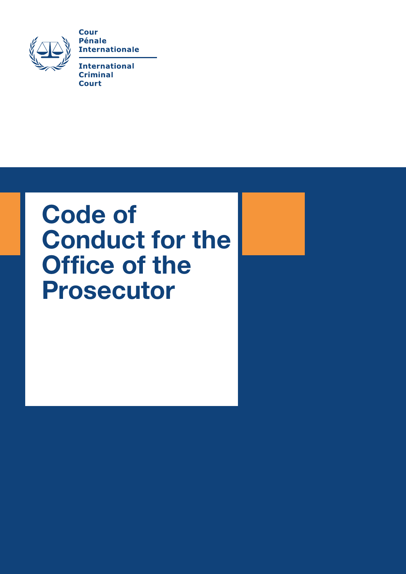

**Pénale Internationale** 

Cour

**International Criminal Court** 

# Code of Conduct for the Office of the Prosecutor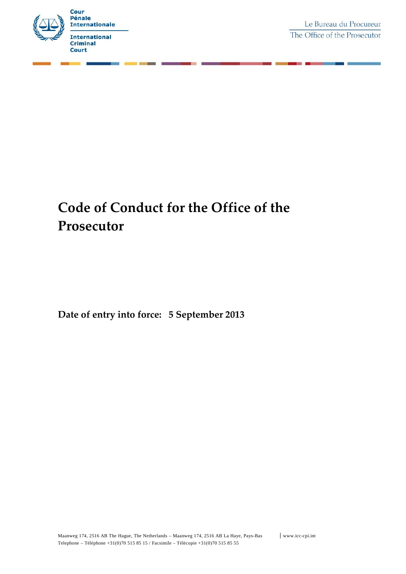

# **Code of Conduct for the Office of the Prosecutor**

**Date of entry into force: 5 September 2013**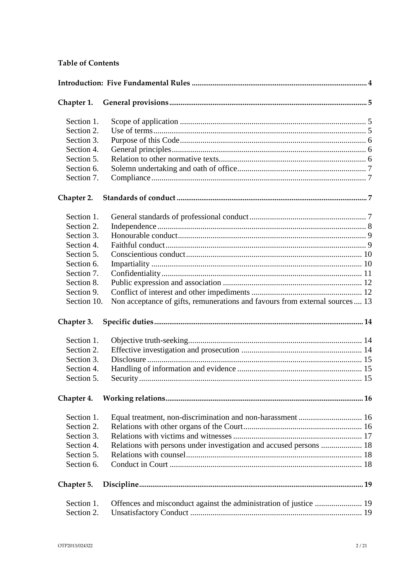#### **Table of Contents**

| Chapter 1.  |                                                                             |  |  |
|-------------|-----------------------------------------------------------------------------|--|--|
| Section 1.  |                                                                             |  |  |
| Section 2.  |                                                                             |  |  |
| Section 3.  |                                                                             |  |  |
| Section 4.  |                                                                             |  |  |
| Section 5.  |                                                                             |  |  |
| Section 6.  |                                                                             |  |  |
| Section 7.  |                                                                             |  |  |
| Chapter 2.  |                                                                             |  |  |
| Section 1.  |                                                                             |  |  |
| Section 2.  |                                                                             |  |  |
| Section 3.  |                                                                             |  |  |
| Section 4.  |                                                                             |  |  |
| Section 5.  |                                                                             |  |  |
| Section 6.  |                                                                             |  |  |
| Section 7.  |                                                                             |  |  |
| Section 8.  |                                                                             |  |  |
| Section 9.  |                                                                             |  |  |
| Section 10. | Non acceptance of gifts, remunerations and favours from external sources 13 |  |  |
| Chapter 3.  |                                                                             |  |  |
| Section 1.  |                                                                             |  |  |
| Section 2.  |                                                                             |  |  |
| Section 3.  |                                                                             |  |  |
| Section 4.  |                                                                             |  |  |
| Section 5.  |                                                                             |  |  |
| Chapter 4.  |                                                                             |  |  |
| Section 1.  |                                                                             |  |  |
| Section 2.  |                                                                             |  |  |
| Section 3.  |                                                                             |  |  |
| Section 4.  | Relations with persons under investigation and accused persons  18          |  |  |
| Section 5.  |                                                                             |  |  |
| Section 6.  |                                                                             |  |  |
| Chapter 5.  |                                                                             |  |  |
| Section 1.  |                                                                             |  |  |
| Section 2.  |                                                                             |  |  |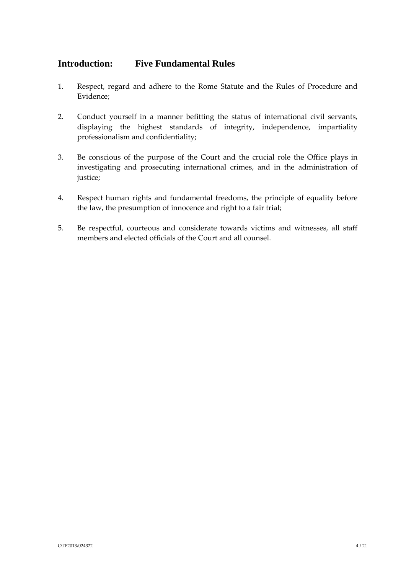#### <span id="page-4-0"></span>**Introduction: Five Fundamental Rules**

- 1. Respect, regard and adhere to the Rome Statute and the Rules of Procedure and Evidence;
- 2. Conduct yourself in a manner befitting the status of international civil servants, displaying the highest standards of integrity, independence, impartiality professionalism and confidentiality;
- 3. Be conscious of the purpose of the Court and the crucial role the Office plays in investigating and prosecuting international crimes, and in the administration of justice;
- 4. Respect human rights and fundamental freedoms, the principle of equality before the law, the presumption of innocence and right to a fair trial;
- 5. Be respectful, courteous and considerate towards victims and witnesses, all staff members and elected officials of the Court and all counsel.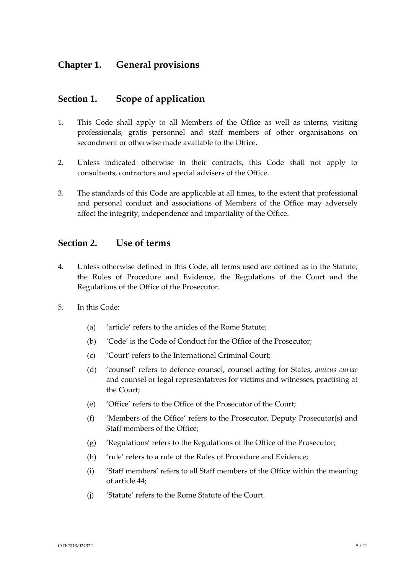#### <span id="page-5-0"></span>**Chapter 1. General provisions**

#### <span id="page-5-1"></span>**Section 1. Scope of application**

- 1. This Code shall apply to all Members of the Office as well as interns, visiting professionals, gratis personnel and staff members of other organisations on secondment or otherwise made available to the Office.
- 2. Unless indicated otherwise in their contracts, this Code shall not apply to consultants, contractors and special advisers of the Office.
- 3. The standards of this Code are applicable at all times, to the extent that professional and personal conduct and associations of Members of the Office may adversely affect the integrity, independence and impartiality of the Office.

#### <span id="page-5-2"></span>**Section 2. Use of terms**

- 4. Unless otherwise defined in this Code, all terms used are defined as in the Statute, the Rules of Procedure and Evidence, the Regulations of the Court and the Regulations of the Office of the Prosecutor.
- 5. In this Code:
	- (a) 'article' refers to the articles of the Rome Statute;
	- (b) 'Code' is the Code of Conduct for the Office of the Prosecutor;
	- (c) 'Court' refers to the International Criminal Court;
	- (d) 'counsel' refers to defence counsel, counsel acting for States, *amicus curiae* and counsel or legal representatives for victims and witnesses, practising at the Court;
	- (e) 'Office' refers to the Office of the Prosecutor of the Court;
	- (f) 'Members of the Office' refers to the Prosecutor, Deputy Prosecutor(s) and Staff members of the Office;
	- (g) 'Regulations' refers to the Regulations of the Office of the Prosecutor;
	- (h) 'rule' refers to a rule of the Rules of Procedure and Evidence;
	- (i) 'Staff members' refers to all Staff members of the Office within the meaning of article 44;
	- (j) 'Statute' refers to the Rome Statute of the Court.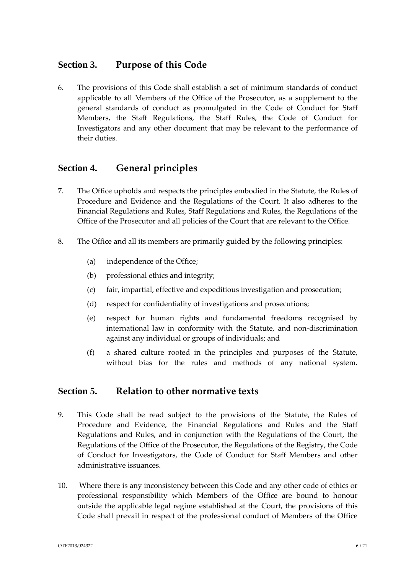#### <span id="page-6-0"></span>**Section 3. Purpose of this Code**

6. The provisions of this Code shall establish a set of minimum standards of conduct applicable to all Members of the Office of the Prosecutor, as a supplement to the general standards of conduct as promulgated in the Code of Conduct for Staff Members, the Staff Regulations, the Staff Rules, the Code of Conduct for Investigators and any other document that may be relevant to the performance of their duties.

#### <span id="page-6-1"></span>**Section 4. General principles**

- 7. The Office upholds and respects the principles embodied in the Statute, the Rules of Procedure and Evidence and the Regulations of the Court. It also adheres to the Financial Regulations and Rules, Staff Regulations and Rules, the Regulations of the Office of the Prosecutor and all policies of the Court that are relevant to the Office.
- 8. The Office and all its members are primarily guided by the following principles:
	- (a) independence of the Office;
	- (b) professional ethics and integrity;
	- (c) fair, impartial, effective and expeditious investigation and prosecution;
	- (d) respect for confidentiality of investigations and prosecutions;
	- (e) respect for human rights and fundamental freedoms recognised by international law in conformity with the Statute, and non-discrimination against any individual or groups of individuals; and
	- (f) a shared culture rooted in the principles and purposes of the Statute, without bias for the rules and methods of any national system.

#### <span id="page-6-2"></span>**Section 5. Relation to other normative texts**

- 9. This Code shall be read subject to the provisions of the Statute, the Rules of Procedure and Evidence, the Financial Regulations and Rules and the Staff Regulations and Rules, and in conjunction with the Regulations of the Court, the Regulations of the Office of the Prosecutor, the Regulations of the Registry, the Code of Conduct for Investigators, the Code of Conduct for Staff Members and other administrative issuances.
- 10. Where there is any inconsistency between this Code and any other code of ethics or professional responsibility which Members of the Office are bound to honour outside the applicable legal regime established at the Court, the provisions of this Code shall prevail in respect of the professional conduct of Members of the Office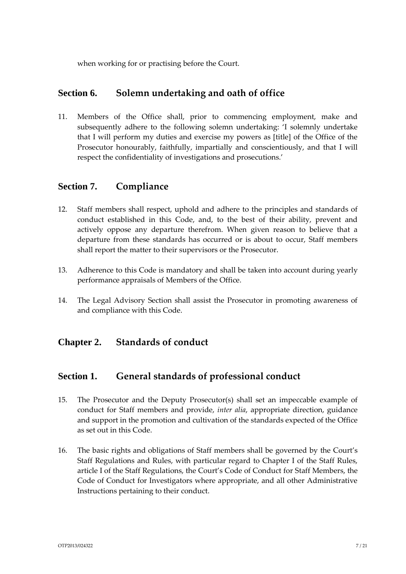<span id="page-7-0"></span>when working for or practising before the Court.

#### **Section 6. Solemn undertaking and oath of office**

11. Members of the Office shall, prior to commencing employment, make and subsequently adhere to the following solemn undertaking: 'I solemnly undertake that I will perform my duties and exercise my powers as [title] of the Office of the Prosecutor honourably, faithfully, impartially and conscientiously, and that I will respect the confidentiality of investigations and prosecutions.'

#### <span id="page-7-1"></span>**Section 7. Compliance**

- 12. Staff members shall respect, uphold and adhere to the principles and standards of conduct established in this Code, and, to the best of their ability, prevent and actively oppose any departure therefrom. When given reason to believe that a departure from these standards has occurred or is about to occur, Staff members shall report the matter to their supervisors or the Prosecutor.
- 13. Adherence to this Code is mandatory and shall be taken into account during yearly performance appraisals of Members of the Office.
- 14. The Legal Advisory Section shall assist the Prosecutor in promoting awareness of and compliance with this Code.

#### <span id="page-7-2"></span>**Chapter 2. Standards of conduct**

#### <span id="page-7-3"></span>**Section 1. General standards of professional conduct**

- 15. The Prosecutor and the Deputy Prosecutor(s) shall set an impeccable example of conduct for Staff members and provide, *inter alia*, appropriate direction, guidance and support in the promotion and cultivation of the standards expected of the Office as set out in this Code.
- 16. The basic rights and obligations of Staff members shall be governed by the Court's Staff Regulations and Rules, with particular regard to Chapter I of the Staff Rules, article I of the Staff Regulations, the Court's Code of Conduct for Staff Members, the Code of Conduct for Investigators where appropriate, and all other Administrative Instructions pertaining to their conduct.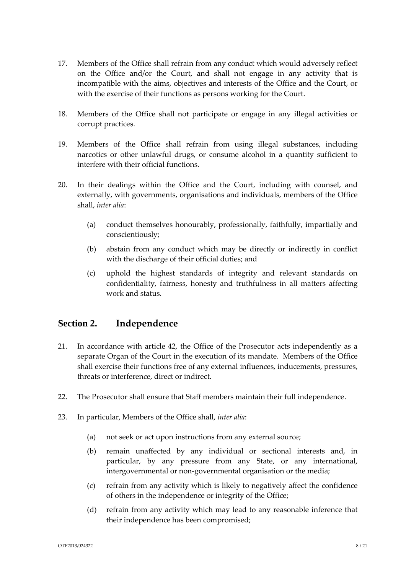- 17. Members of the Office shall refrain from any conduct which would adversely reflect on the Office and/or the Court, and shall not engage in any activity that is incompatible with the aims, objectives and interests of the Office and the Court, or with the exercise of their functions as persons working for the Court.
- 18. Members of the Office shall not participate or engage in any illegal activities or corrupt practices.
- 19. Members of the Office shall refrain from using illegal substances, including narcotics or other unlawful drugs, or consume alcohol in a quantity sufficient to interfere with their official functions.
- 20. In their dealings within the Office and the Court, including with counsel, and externally, with governments, organisations and individuals, members of the Office shall, *inter alia*:
	- (a) conduct themselves honourably, professionally, faithfully, impartially and conscientiously;
	- (b) abstain from any conduct which may be directly or indirectly in conflict with the discharge of their official duties; and
	- (c) uphold the highest standards of integrity and relevant standards on confidentiality, fairness, honesty and truthfulness in all matters affecting work and status.

#### <span id="page-8-0"></span>**Section 2. Independence**

- 21. In accordance with article 42, the Office of the Prosecutor acts independently as a separate Organ of the Court in the execution of its mandate. Members of the Office shall exercise their functions free of any external influences, inducements, pressures, threats or interference, direct or indirect.
- 22. The Prosecutor shall ensure that Staff members maintain their full independence.
- 23. In particular, Members of the Office shall, *inter alia*:
	- (a) not seek or act upon instructions from any external source;
	- (b) remain unaffected by any individual or sectional interests and, in particular, by any pressure from any State, or any international, intergovernmental or non-governmental organisation or the media;
	- (c) refrain from any activity which is likely to negatively affect the confidence of others in the independence or integrity of the Office;
	- (d) refrain from any activity which may lead to any reasonable inference that their independence has been compromised;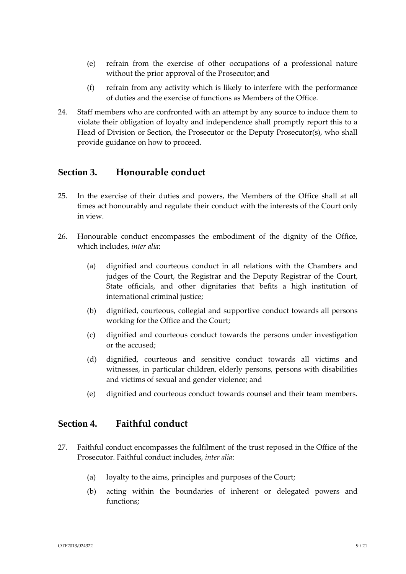- (e) refrain from the exercise of other occupations of a professional nature without the prior approval of the Prosecutor; and
- (f) refrain from any activity which is likely to interfere with the performance of duties and the exercise of functions as Members of the Office.
- 24. Staff members who are confronted with an attempt by any source to induce them to violate their obligation of loyalty and independence shall promptly report this to a Head of Division or Section, the Prosecutor or the Deputy Prosecutor(s), who shall provide guidance on how to proceed.

#### <span id="page-9-0"></span>**Section 3. Honourable conduct**

- 25. In the exercise of their duties and powers, the Members of the Office shall at all times act honourably and regulate their conduct with the interests of the Court only in view.
- 26. Honourable conduct encompasses the embodiment of the dignity of the Office, which includes, *inter alia*:
	- (a) dignified and courteous conduct in all relations with the Chambers and judges of the Court, the Registrar and the Deputy Registrar of the Court, State officials, and other dignitaries that befits a high institution of international criminal justice;
	- (b) dignified, courteous, collegial and supportive conduct towards all persons working for the Office and the Court;
	- (c) dignified and courteous conduct towards the persons under investigation or the accused;
	- (d) dignified, courteous and sensitive conduct towards all victims and witnesses, in particular children, elderly persons, persons with disabilities and victims of sexual and gender violence; and
	- (e) dignified and courteous conduct towards counsel and their team members.

#### <span id="page-9-1"></span>**Section 4. Faithful conduct**

- 27. Faithful conduct encompasses the fulfilment of the trust reposed in the Office of the Prosecutor. Faithful conduct includes, *inter alia*:
	- (a) loyalty to the aims, principles and purposes of the Court;
	- (b) acting within the boundaries of inherent or delegated powers and functions;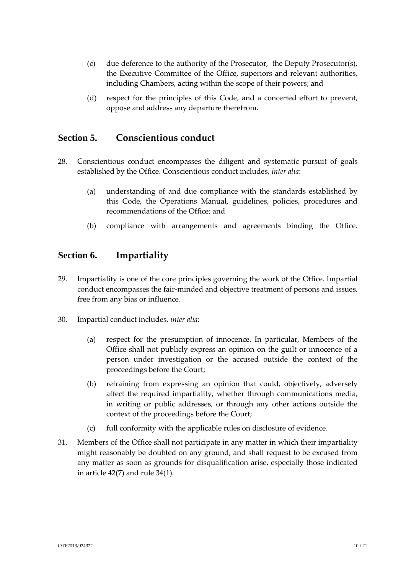- (c) due deference to the authority of the Prosecutor, the Deputy Prosecutor(s), the Executive Committee of the Office, superiors and relevant authorities, including Chambers, acting within the scope of their powers; and
- <span id="page-10-0"></span>(d) respect for the principles of this Code, and a concerted effort to prevent, oppose and address any departure therefrom.

#### **Section 5. Conscientious conduct**

- 28. Conscientious conduct encompasses the diligent and systematic pursuit of goals established by the Office. Conscientious conduct includes, *inter alia*:
	- (a) understanding of and due compliance with the standards established by this Code, the Operations Manual, guidelines, policies, procedures and recommendations of the Office; and
	- (b) compliance with arrangements and agreements binding the Office.

#### <span id="page-10-1"></span>**Section 6. Impartiality**

- 29. Impartiality is one of the core principles governing the work of the Office. Impartial conduct encompasses the fair-minded and objective treatment of persons and issues, free from any bias or influence.
- 30. Impartial conduct includes, *inter alia*:
	- (a) respect for the presumption of innocence. In particular, Members of the Office shall not publicly express an opinion on the guilt or innocence of a person under investigation or the accused outside the context of the proceedings before the Court;
	- (b) refraining from expressing an opinion that could, objectively, adversely affect the required impartiality, whether through communications media, in writing or public addresses, or through any other actions outside the context of the proceedings before the Court;
	- (c) full conformity with the applicable rules on disclosure of evidence.
- <span id="page-10-2"></span>31. Members of the Office shall not participate in any matter in which their impartiality might reasonably be doubted on any ground, and shall request to be excused from any matter as soon as grounds for disqualification arise, especially those indicated in article 42(7) and rule 34(1).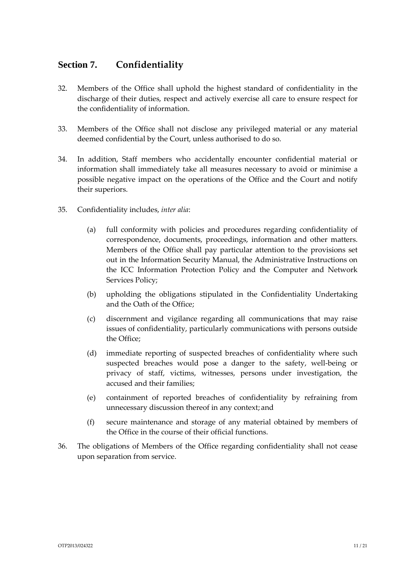#### **Section 7. Confidentiality**

- 32. Members of the Office shall uphold the highest standard of confidentiality in the discharge of their duties, respect and actively exercise all care to ensure respect for the confidentiality of information.
- 33. Members of the Office shall not disclose any privileged material or any material deemed confidential by the Court, unless authorised to do so.
- 34. In addition, Staff members who accidentally encounter confidential material or information shall immediately take all measures necessary to avoid or minimise a possible negative impact on the operations of the Office and the Court and notify their superiors.
- 35. Confidentiality includes, *inter alia*:
	- (a) full conformity with policies and procedures regarding confidentiality of correspondence, documents, proceedings, information and other matters. Members of the Office shall pay particular attention to the provisions set out in the Information Security Manual, the Administrative Instructions on the ICC Information Protection Policy and the Computer and Network Services Policy;
	- (b) upholding the obligations stipulated in the Confidentiality Undertaking and the Oath of the Office;
	- (c) discernment and vigilance regarding all communications that may raise issues of confidentiality, particularly communications with persons outside the Office;
	- (d) immediate reporting of suspected breaches of confidentiality where such suspected breaches would pose a danger to the safety, well-being or privacy of staff, victims, witnesses, persons under investigation, the accused and their families;
	- (e) containment of reported breaches of confidentiality by refraining from unnecessary discussion thereof in any context; and
	- (f) secure maintenance and storage of any material obtained by members of the Office in the course of their official functions.
- <span id="page-11-0"></span>36. The obligations of Members of the Office regarding confidentiality shall not cease upon separation from service.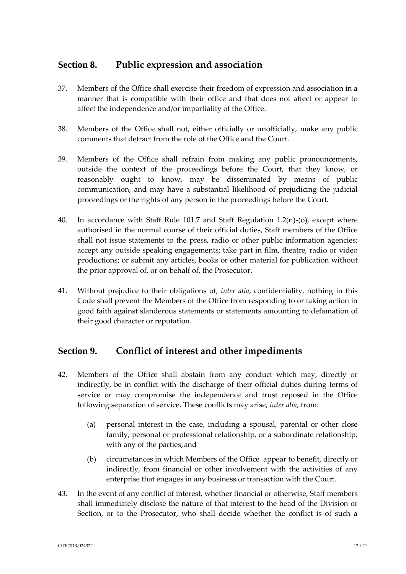#### **Section 8. Public expression and association**

- 37. Members of the Office shall exercise their freedom of expression and association in a manner that is compatible with their office and that does not affect or appear to affect the independence and/or impartiality of the Office.
- 38. Members of the Office shall not, either officially or unofficially, make any public comments that detract from the role of the Office and the Court.
- 39. Members of the Office shall refrain from making any public pronouncements, outside the context of the proceedings before the Court, that they know, or reasonably ought to know, may be disseminated by means of public communication, and may have a substantial likelihood of prejudicing the judicial proceedings or the rights of any person in the proceedings before the Court.
- 40. In accordance with Staff Rule 101.7 and Staff Regulation 1.2(n)-(o), except where authorised in the normal course of their official duties, Staff members of the Office shall not issue statements to the press, radio or other public information agencies; accept any outside speaking engagements; take part in film, theatre, radio or video productions; or submit any articles, books or other material for publication without the prior approval of, or on behalf of, the Prosecutor.
- 41. Without prejudice to their obligations of, *inter alia*, confidentiality, nothing in this Code shall prevent the Members of the Office from responding to or taking action in good faith against slanderous statements or statements amounting to defamation of their good character or reputation.

#### <span id="page-12-0"></span>**Section 9. Conflict of interest and other impediments**

- 42. Members of the Office shall abstain from any conduct which may, directly or indirectly, be in conflict with the discharge of their official duties during terms of service or may compromise the independence and trust reposed in the Office following separation of service. These conflicts may arise, *inter alia*, from:
	- (a) personal interest in the case, including a spousal, parental or other close family, personal or professional relationship, or a subordinate relationship, with any of the parties; and
	- (b) circumstances in which Members of the Office appear to benefit, directly or indirectly, from financial or other involvement with the activities of any enterprise that engages in any business or transaction with the Court.
- 43. In the event of any conflict of interest, whether financial or otherwise, Staff members shall immediately disclose the nature of that interest to the head of the Division or Section, or to the Prosecutor, who shall decide whether the conflict is of such a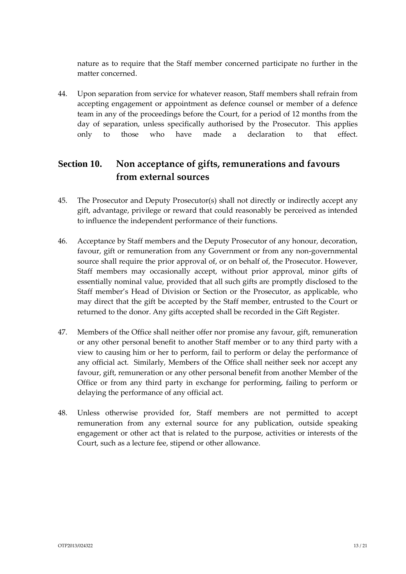nature as to require that the Staff member concerned participate no further in the matter concerned.

44. Upon separation from service for whatever reason, Staff members shall refrain from accepting engagement or appointment as defence counsel or member of a defence team in any of the proceedings before the Court, for a period of 12 months from the day of separation, unless specifically authorised by the Prosecutor. This applies only to those who have made a declaration to that effect.

## <span id="page-13-0"></span>**Section 10. Non acceptance of gifts, remunerations and favours from external sources**

- 45. The Prosecutor and Deputy Prosecutor(s) shall not directly or indirectly accept any gift, advantage, privilege or reward that could reasonably be perceived as intended to influence the independent performance of their functions.
- 46. Acceptance by Staff members and the Deputy Prosecutor of any honour, decoration, favour, gift or remuneration from any Government or from any non-governmental source shall require the prior approval of, or on behalf of, the Prosecutor. However, Staff members may occasionally accept, without prior approval, minor gifts of essentially nominal value, provided that all such gifts are promptly disclosed to the Staff member's Head of Division or Section or the Prosecutor, as applicable, who may direct that the gift be accepted by the Staff member, entrusted to the Court or returned to the donor. Any gifts accepted shall be recorded in the Gift Register.
- 47. Members of the Office shall neither offer nor promise any favour, gift, remuneration or any other personal benefit to another Staff member or to any third party with a view to causing him or her to perform, fail to perform or delay the performance of any official act. Similarly, Members of the Office shall neither seek nor accept any favour, gift, remuneration or any other personal benefit from another Member of the Office or from any third party in exchange for performing, failing to perform or delaying the performance of any official act.
- 48. Unless otherwise provided for, Staff members are not permitted to accept remuneration from any external source for any publication, outside speaking engagement or other act that is related to the purpose, activities or interests of the Court, such as a lecture fee, stipend or other allowance.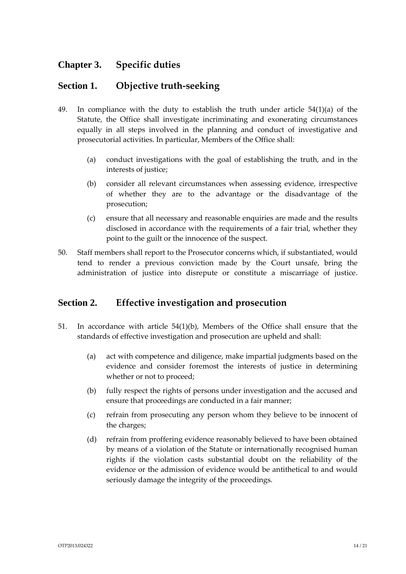#### <span id="page-14-0"></span>**Chapter 3. Specific duties**

#### <span id="page-14-1"></span>**Section 1. Objective truth-seeking**

- 49. In compliance with the duty to establish the truth under article 54(1)(a) of the Statute, the Office shall investigate incriminating and exonerating circumstances equally in all steps involved in the planning and conduct of investigative and prosecutorial activities. In particular, Members of the Office shall:
	- (a) conduct investigations with the goal of establishing the truth, and in the interests of justice;
	- (b) consider all relevant circumstances when assessing evidence, irrespective of whether they are to the advantage or the disadvantage of the prosecution;
	- (c) ensure that all necessary and reasonable enquiries are made and the results disclosed in accordance with the requirements of a fair trial, whether they point to the guilt or the innocence of the suspect.
- 50. Staff members shall report to the Prosecutor concerns which, if substantiated, would tend to render a previous conviction made by the Court unsafe, bring the administration of justice into disrepute or constitute a miscarriage of justice.

#### <span id="page-14-2"></span>**Section 2. Effective investigation and prosecution**

- 51. In accordance with article 54(1)(b), Members of the Office shall ensure that the standards of effective investigation and prosecution are upheld and shall:
	- (a) act with competence and diligence, make impartial judgments based on the evidence and consider foremost the interests of justice in determining whether or not to proceed;
	- (b) fully respect the rights of persons under investigation and the accused and ensure that proceedings are conducted in a fair manner;
	- (c) refrain from prosecuting any person whom they believe to be innocent of the charges;
	- (d) refrain from proffering evidence reasonably believed to have been obtained by means of a violation of the Statute or internationally recognised human rights if the violation casts substantial doubt on the reliability of the evidence or the admission of evidence would be antithetical to and would seriously damage the integrity of the proceedings.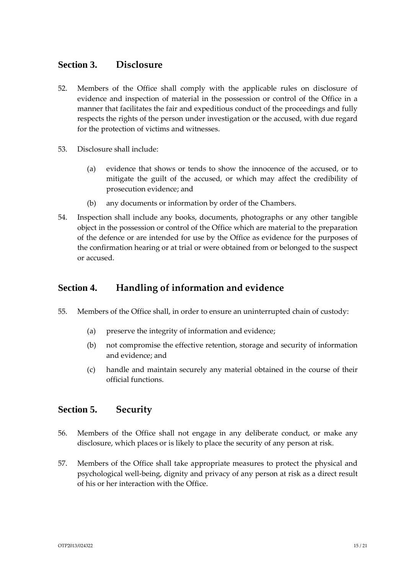#### <span id="page-15-0"></span>**Section 3. Disclosure**

- 52. Members of the Office shall comply with the applicable rules on disclosure of evidence and inspection of material in the possession or control of the Office in a manner that facilitates the fair and expeditious conduct of the proceedings and fully respects the rights of the person under investigation or the accused, with due regard for the protection of victims and witnesses.
- 53. Disclosure shall include:
	- (a) evidence that shows or tends to show the innocence of the accused, or to mitigate the guilt of the accused, or which may affect the credibility of prosecution evidence; and
	- (b) any documents or information by order of the Chambers.
- 54. Inspection shall include any books, documents, photographs or any other tangible object in the possession or control of the Office which are material to the preparation of the defence or are intended for use by the Office as evidence for the purposes of the confirmation hearing or at trial or were obtained from or belonged to the suspect or accused.

#### <span id="page-15-1"></span>**Section 4. Handling of information and evidence**

- 55. Members of the Office shall, in order to ensure an uninterrupted chain of custody:
	- (a) preserve the integrity of information and evidence;
	- (b) not compromise the effective retention, storage and security of information and evidence; and
	- (c) handle and maintain securely any material obtained in the course of their official functions.

#### <span id="page-15-2"></span>**Section 5. Security**

- 56. Members of the Office shall not engage in any deliberate conduct, or make any disclosure, which places or is likely to place the security of any person at risk.
- 57. Members of the Office shall take appropriate measures to protect the physical and psychological well-being, dignity and privacy of any person at risk as a direct result of his or her interaction with the Office.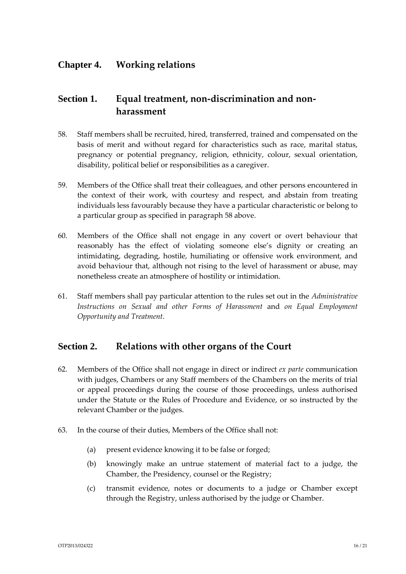#### <span id="page-16-0"></span>**Chapter 4. Working relations**

# <span id="page-16-1"></span>**Section 1. Equal treatment, non-discrimination and non harassment**

- 58. Staff members shall be recruited, hired, transferred, trained and compensated on the basis of merit and without regard for characteristics such as race, marital status, pregnancy or potential pregnancy, religion, ethnicity, colour, sexual orientation, disability, political belief or responsibilities as a caregiver.
- 59. Members of the Office shall treat their colleagues, and other persons encountered in the context of their work, with courtesy and respect, and abstain from treating individuals less favourably because they have a particular characteristic or belong to a particular group as specified in paragraph 58 above.
- 60. Members of the Office shall not engage in any covert or overt behaviour that reasonably has the effect of violating someone else's dignity or creating an intimidating, degrading, hostile, humiliating or offensive work environment, and avoid behaviour that, although not rising to the level of harassment or abuse, may nonetheless create an atmosphere of hostility or intimidation.
- 61. Staff members shall pay particular attention to the rules set out in the *Administrative Instructions on Sexual and other Forms of Harassment* and *on Equal Employment Opportunity and Treatment*.

#### <span id="page-16-2"></span>**Section 2. Relations with other organs of the Court**

- 62. Members of the Office shall not engage in direct or indirect *ex parte* communication with judges, Chambers or any Staff members of the Chambers on the merits of trial or appeal proceedings during the course of those proceedings, unless authorised under the Statute or the Rules of Procedure and Evidence, or so instructed by the relevant Chamber or the judges.
- 63. In the course of their duties, Members of the Office shall not:
	- (a) present evidence knowing it to be false or forged;
	- (b) knowingly make an untrue statement of material fact to a judge, the Chamber, the Presidency, counsel or the Registry;
	- (c) transmit evidence, notes or documents to a judge or Chamber except through the Registry, unless authorised by the judge or Chamber.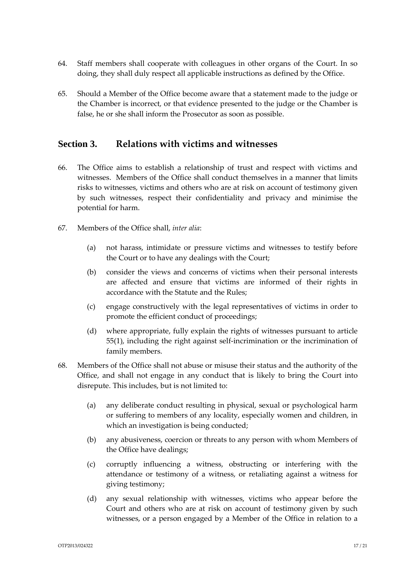- 64. Staff members shall cooperate with colleagues in other organs of the Court. In so doing, they shall duly respect all applicable instructions as defined by the Office.
- 65. Should a Member of the Office become aware that a statement made to the judge or the Chamber is incorrect, or that evidence presented to the judge or the Chamber is false, he or she shall inform the Prosecutor as soon as possible.

#### <span id="page-17-0"></span>**Section 3. Relations with victims and witnesses**

- 66. The Office aims to establish a relationship of trust and respect with victims and witnesses. Members of the Office shall conduct themselves in a manner that limits risks to witnesses, victims and others who are at risk on account of testimony given by such witnesses, respect their confidentiality and privacy and minimise the potential for harm.
- 67. Members of the Office shall, *inter alia*:
	- (a) not harass, intimidate or pressure victims and witnesses to testify before the Court or to have any dealings with the Court;
	- (b) consider the views and concerns of victims when their personal interests are affected and ensure that victims are informed of their rights in accordance with the Statute and the Rules;
	- (c) engage constructively with the legal representatives of victims in order to promote the efficient conduct of proceedings;
	- (d) where appropriate, fully explain the rights of witnesses pursuant to article 55(1), including the right against self-incrimination or the incrimination of family members.
- 68. Members of the Office shall not abuse or misuse their status and the authority of the Office, and shall not engage in any conduct that is likely to bring the Court into disrepute. This includes, but is not limited to:
	- (a) any deliberate conduct resulting in physical, sexual or psychological harm or suffering to members of any locality, especially women and children, in which an investigation is being conducted;
	- (b) any abusiveness, coercion or threats to any person with whom Members of the Office have dealings;
	- (c) corruptly influencing a witness, obstructing or interfering with the attendance or testimony of a witness, or retaliating against a witness for giving testimony;
	- (d) any sexual relationship with witnesses, victims who appear before the Court and others who are at risk on account of testimony given by such witnesses, or a person engaged by a Member of the Office in relation to a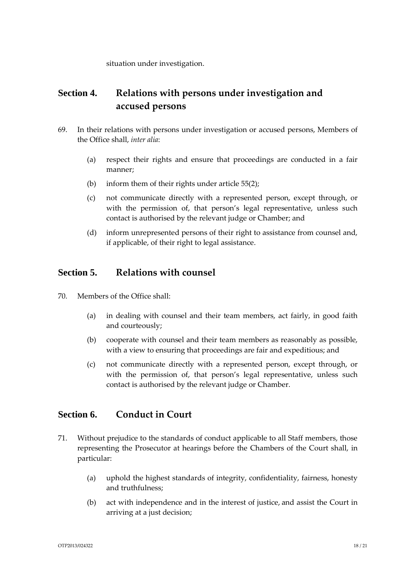<span id="page-18-0"></span>situation under investigation.

## **Section 4. Relations with persons under investigation and accused persons**

- 69. In their relations with persons under investigation or accused persons, Members of the Office shall, *inter alia*:
	- (a) respect their rights and ensure that proceedings are conducted in a fair manner;
	- (b) inform them of their rights under article 55(2);
	- (c) not communicate directly with a represented person, except through, or with the permission of, that person's legal representative, unless such contact is authorised by the relevant judge or Chamber; and
	- (d) inform unrepresented persons of their right to assistance from counsel and, if applicable, of their right to legal assistance.

#### <span id="page-18-1"></span>**Section 5. Relations with counsel**

- 70. Members of the Office shall:
	- (a) in dealing with counsel and their team members, act fairly, in good faith and courteously;
	- (b) cooperate with counsel and their team members as reasonably as possible, with a view to ensuring that proceedings are fair and expeditious; and
	- (c) not communicate directly with a represented person, except through, or with the permission of, that person's legal representative, unless such contact is authorised by the relevant judge or Chamber.

#### <span id="page-18-2"></span>**Section 6. Conduct in Court**

- 71. Without prejudice to the standards of conduct applicable to all Staff members, those representing the Prosecutor at hearings before the Chambers of the Court shall, in particular:
	- (a) uphold the highest standards of integrity, confidentiality, fairness, honesty and truthfulness;
	- (b) act with independence and in the interest of justice, and assist the Court in arriving at a just decision;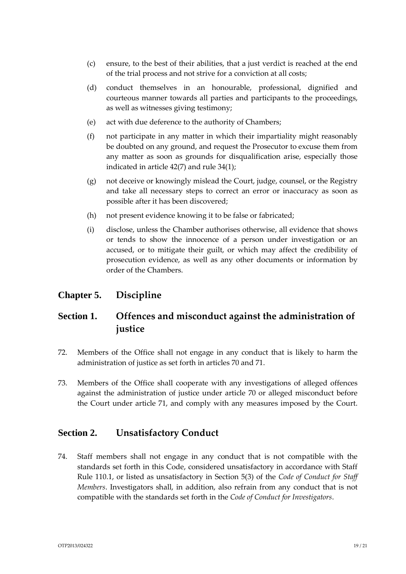- (c) ensure, to the best of their abilities, that a just verdict is reached at the end of the trial process and not strive for a conviction at all costs;
- (d) conduct themselves in an honourable, professional, dignified and courteous manner towards all parties and participants to the proceedings, as well as witnesses giving testimony;
- (e) act with due deference to the authority of Chambers;
- (f) not participate in any matter in which their impartiality might reasonably be doubted on any ground, and request the Prosecutor to excuse them from any matter as soon as grounds for disqualification arise, especially those indicated in article 42(7) and rule 34(1);
- (g) not deceive or knowingly mislead the Court, judge, counsel, or the Registry and take all necessary steps to correct an error or inaccuracy as soon as possible after it has been discovered;
- (h) not present evidence knowing it to be false or fabricated;
- (i) disclose, unless the Chamber authorises otherwise, all evidence that shows or tends to show the innocence of a person under investigation or an accused, or to mitigate their guilt, or which may affect the credibility of prosecution evidence, as well as any other documents or information by order of the Chambers.

#### <span id="page-19-0"></span>**Chapter 5. Discipline**

# <span id="page-19-1"></span>**Section 1. Offences and misconduct against the administration of justice**

- 72. Members of the Office shall not engage in any conduct that is likely to harm the administration of justice as set forth in articles 70 and 71.
- 73. Members of the Office shall cooperate with any investigations of alleged offences against the administration of justice under article 70 or alleged misconduct before the Court under article 71, and comply with any measures imposed by the Court.

#### <span id="page-19-2"></span>**Section 2. Unsatisfactory Conduct**

74. Staff members shall not engage in any conduct that is not compatible with the standards set forth in this Code, considered unsatisfactory in accordance with Staff Rule 110.1, or listed as unsatisfactory in Section 5(3) of the *Code of Conduct for Staff Members*. Investigators shall, in addition, also refrain from any conduct that is not compatible with the standards set forth in the *Code of Conduct for Investigators*.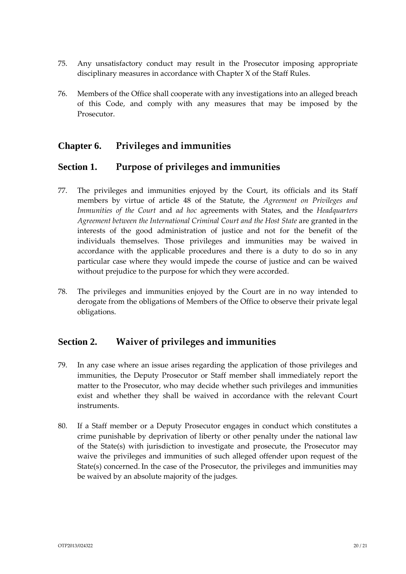- 75. Any unsatisfactory conduct may result in the Prosecutor imposing appropriate disciplinary measures in accordance with Chapter X of the Staff Rules.
- 76. Members of the Office shall cooperate with any investigations into an alleged breach of this Code, and comply with any measures that may be imposed by the Prosecutor.

#### <span id="page-20-0"></span>**Chapter 6. Privileges and immunities**

#### <span id="page-20-1"></span>**Section 1. Purpose of privileges and immunities**

- 77. The privileges and immunities enjoyed by the Court, its officials and its Staff members by virtue of article 48 of the Statute, the *Agreement on Privileges and Immunities of the Court* and *ad hoc* agreements with States, and the *Headquarters Agreement between the International Criminal Court and the Host State* are granted in the interests of the good administration of justice and not for the benefit of the individuals themselves. Those privileges and immunities may be waived in accordance with the applicable procedures and there is a duty to do so in any particular case where they would impede the course of justice and can be waived without prejudice to the purpose for which they were accorded.
- 78. The privileges and immunities enjoyed by the Court are in no way intended to derogate from the obligations of Members of the Office to observe their private legal obligations.

#### <span id="page-20-2"></span>**Section 2. Waiver of privileges and immunities**

- 79. In any case where an issue arises regarding the application of those privileges and immunities, the Deputy Prosecutor or Staff member shall immediately report the matter to the Prosecutor, who may decide whether such privileges and immunities exist and whether they shall be waived in accordance with the relevant Court instruments.
- 80. If a Staff member or a Deputy Prosecutor engages in conduct which constitutes a crime punishable by deprivation of liberty or other penalty under the national law of the State(s) with jurisdiction to investigate and prosecute, the Prosecutor may waive the privileges and immunities of such alleged offender upon request of the State(s) concerned. In the case of the Prosecutor, the privileges and immunities may be waived by an absolute majority of the judges.